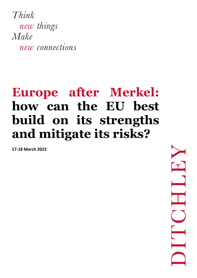Think new things Make new connections

## **Europe after Merkel: how can the EU best build on its strengths and mitigate its risks?**

**17-18 March 2022**

 $\mathbf{T}$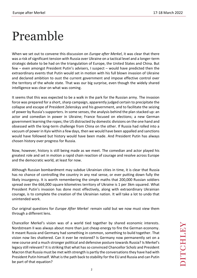## Preamble

When we set out to convene this discussion on *Europe after Merkel*, it was clear that there was a risk of significant tension with Russia over Ukraine on a tactical level and a longer-term strategic debate to be had on the triangulation of Europe, the United States and China. But few – even amongst President Putin's advisers, I suspect – would have predicted then the extraordinary events that Putin would set in motion with his full blown invasion of Ukraine and declared ambition to oust the current government and impose effective control over the territory of the whole state. That was our big surprise, even though the widely shared intelligence was clear on what was coming.

It seems that this was expected to be a walk in the park for the Russian army. The invasion force was prepared for a short, sharp campaign, apparently judged certain to precipitate the collapse and escape of President Zelenskyy and his government, and to facilitate the seizing of power by Russia's supporters. In some senses, the analysis behind the plan stacked up: an actor and comedian in power in Ukraine; France focused on elections; a new German government learning the ropes; the US distracted by domestic divisions on the one hand and obsessed with the long-term challenge from China on the other. If Russia had rolled into a vacuum of power in Kyiv within a few days, then we would have been appalled and sanctions would have followed but history would have been made. And President Putin has always chosen history over progress for Russia.

Now, however, history is still being made as we meet. The comedian and actor played his greatest role and set in motion a rapid chain reaction of courage and resolve across Europe and the democratic world, at least for now.

Although Russian bombardment may subdue Ukrainian cities in time, it is clear that Russia has no chance of controlling the country in any real sense, or ever putting down fully the likely insurgency. It is worth remembering the simple maths that 200,000 Russian soldiers spread over the 666,000 square kilometres territory of Ukraine is 1 per 3km squared. What President Putin's invasion has done most effectively, along with extraordinary Ukrainian courage, is to complete the creation of the Ukrainian nation. It will take a lot to undo that unintended work.

Our original questions for *Europe After Merkel* remain valid but we now must view them through a different lens.

Chancellor Merkel's vision was of a world tied together by shared economic interests. Nordstream II was always about more than just cheap energy to fire the German economy. It meant Russia and Germany had something in common, something to build together. That vision now lies shattered. Can it ever be restored? Is Germany now permanently set on a new course and a much stronger political and defensive posture towards Russia? Is Merkel's legacy still relevant? It is striking that what has so convinced Chancellor Scholz and President Macron that Russia must be met with strength is partly the conversations they have had with President Putin himself. What is the path back to stability for the EU and Russia and can Putin be part of that equation?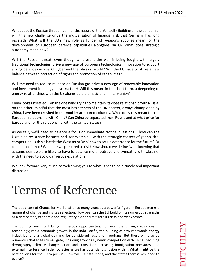What does the Russian threat mean for the nature of the EU itself? Building on the pandemic, will this new challenge drive the mutualisation of financial risk that Germany has long resisted? What will the EU's new role as funder of weapons supplies mean for the development of European defence capabilities alongside NATO? What does strategic autonomy mean now?

Will the Russian threat, even though at present the war is being fought with largely traditional technologies, drive a new age of European technological innovation to support strong defences across AI, cyber and the physical world? Will the EU have to strike a new balance between protection of rights and promotion of capabilities?

Will the need to reduce reliance on Russian gas drive a new age of renewable innovation and investment in energy infrastructure? Will this mean, in the short term, a deepening of energy relationships with the US alongside diplomatic and military unity?

China looks unsettled – on the one hand trying to maintain its close relationship with Russia; on the other, mindful that the most basic tenets of the UN charter, always championed by China, have been crushed in the mud by armoured columns. What does this mean for the European relationship with China? Can China be separated from Russia and at what price for Europe and for the relationship with the United States?

As we talk, we'll need to balance a focus on immediate tactical questions – how can the Ukrainian resistance be sustained, for example – with the strategic context of geopolitical competition. Is this a battle the West must 'win' now to set up deterrence for the future? Or can it be deferred? What are we prepared to risk? How should we define 'win', knowing that at some point we are likely to have to balance moral outrage and sympathy with Ukraine, with the need to avoid dangerous escalation?

We look forward very much to welcoming you to what is set to be a timely and important discussion.

## Terms of Reference

The departure of Chancellor Merkel after so many years as a powerful figure in Europe marks a moment of change and invites reflection. How best can the EU build on its numerous strengths as a democratic, economic and regulatory bloc and mitigate its risks and weaknesses?

The coming years will bring numerous opportunities, for example through advances in technology; rapid economic growth in the Indo-Pacific; the building of new renewable energy industries; and a global demand for considered regulation, perhaps. But there will also be numerous challenges to navigate, including growing systemic competition with China; declining demography; climate change action and transition; increasing immigration pressures; and external interference in democracies as well as potential disillusion within. What might be the best policies for the EU to pursue? How will EU institutions, and the states themselves, need to evolve?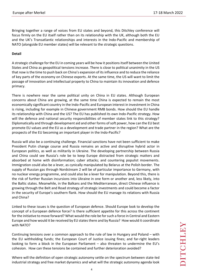Bringing together a range of voices from EU states and beyond, this Ditchley conference will focus firmly on the EU itself rather than on its relationship with the UK, although both the EU and the UK's Transatlantic relationships and interests in the Indo-Pacific and membership of NATO (alongside EU member states) will be relevant to the strategic questions.

## **Detail**

A strategic challenge for the EU in coming years will be how it positions itself between the United States and China as geopolitical tensions increase. There is close to political unanimity in the US that now is the time to push back on China's expansion of its influence and to reduce the reliance of key parts of the economy on Chinese exports. At the same time, the US will want to limit the passage of innovation and intellectual property to China to maintain its innovation and defence primacy.

There is nowhere near the same political unity on China in EU states. Although European concerns about China are growing, at the same time China is expected to remain the most economically significant country in the Indo-Pacific and European interest in investment in China is rising, including for example in Chinese government RMB bonds. How should the EU handle its relationship with China and the US? The EU has published its own Indo-Pacific strategy. How will the defence and national security responsibilities of member states link to this strategy? Diplomatically and through development aid and other forms of soft power, how can the EU best promote EU values and the EU as a development and trade partner in the region? What are the prospects of the EU becoming an important player in the Indo-Pacific?

Russia will also be a continuing challenge. Financial sanctions have not been sufficient to make President Putin change course and Russia remains an active and disruptive hybrid actor in European politics, as well as militarily in Ukraine. The developing partnership between Russia and China could see Russia's role be to keep Europe distracted from strategic matters and absorbed at home with disinformation; cyber attacks; and countering populist movements. Immigration could also be a lever, as cynically manipulated by Belarus at the Polish border. The supply of Russian gas through Nordstream 2 will be of particular importance to Germany, with no nuclear energy programme, and could also be a lever for manipulation. Beyond this, there is the risk of further Russian incursions into Ukraine in one form or another and, less likely, into the Baltic states. Meanwhile, in the Balkans and the Mediterranean, direct Chinese influence is growing through the Belt and Road strategy of strategic investments and could become a factor in the security of Europe's southern flank. How should the EU manage its relations with Russia and China?

Linked to these issues is the question of European defence. Should Europe look to develop the concept of a European defence force? Is there sufficient appetite for this across the continent for the initiative to move forward? What would the role be for such a force in Central and Eastern Europe and how would it be received by EU statesthere and by Russia? How would it coordinate with NATO?

Continuing tensions over a common approach to the rule of law in Hungary and Poland – with the EU withholding funds; the European Court of Justice issuing fines; and far-right leaders looking to form a block in the European Parliament – also threaten to undermine the EU's cohesion. How can these tensions be contained and further deterioration avoided?

Where will the definition of open strategic autonomy settle on the spectrum between state-led industrial strategy and free market dynamics and what will the strategic autonomy agenda look